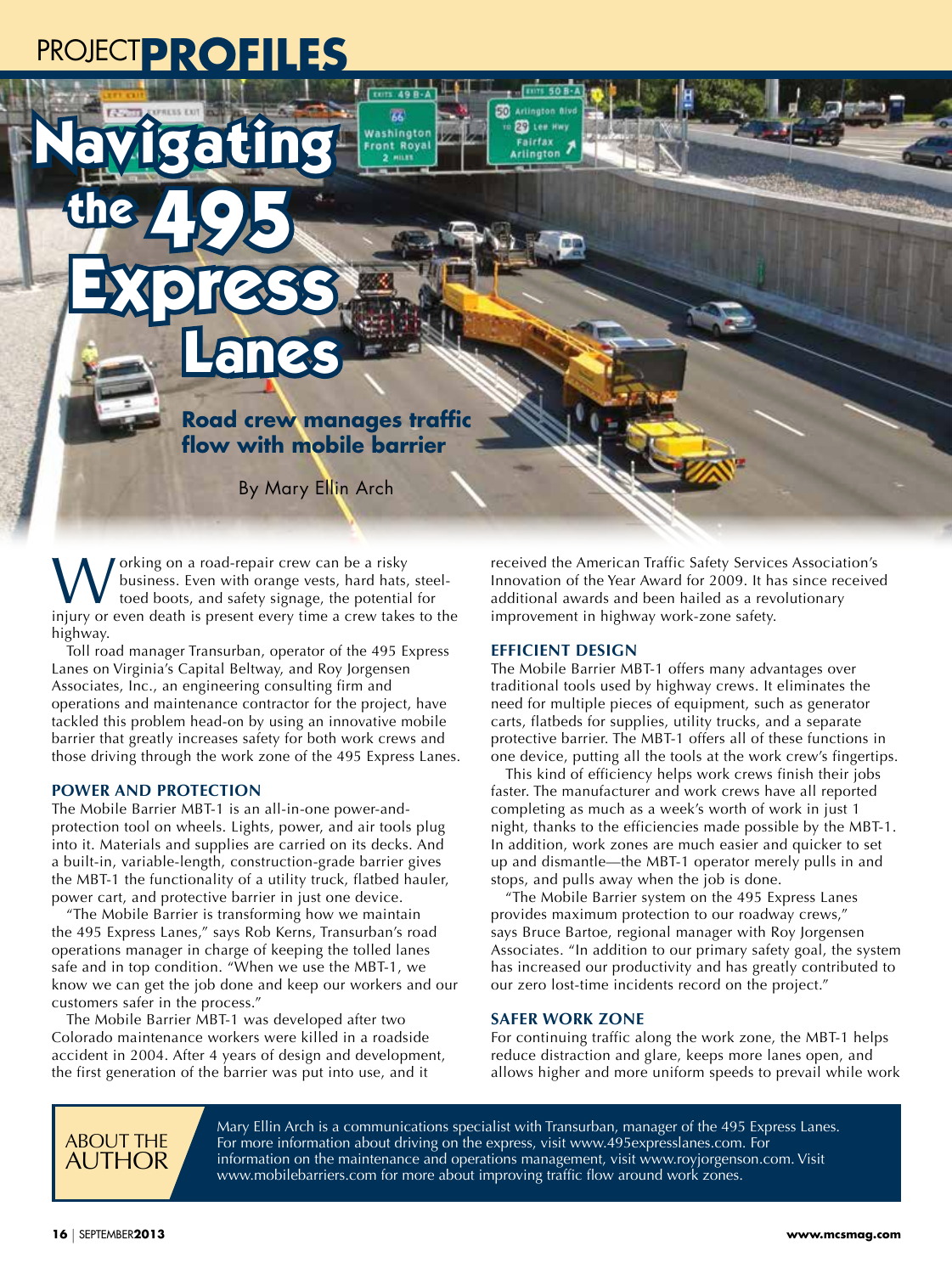## PROJECT**PROFILES**

Navigating

the 495

Express

**Road crew manages traffic flow with mobile barrier**

Bb)

Washington

Royal

By Mary Ellin Arch

orking on a road-repair crew can be a risky business. Even with orange vests, hard hats, steeltoed boots, and safety signage, the potential for injury or even death is present every time a crew takes to the highway.

Lanes

Toll road manager Transurban, operator of the 495 Express Lanes on Virginia's Capital Beltway, and Roy Jorgensen Associates, Inc., an engineering consulting firm and operations and maintenance contractor for the project, have tackled this problem head-on by using an innovative mobile barrier that greatly increases safety for both work crews and those driving through the work zone of the 495 Express Lanes.

## **POWER AND PROTECTION**

The Mobile Barrier MBT-1 is an all-in-one power-andprotection tool on wheels. Lights, power, and air tools plug into it. Materials and supplies are carried on its decks. And a built-in, variable-length, construction-grade barrier gives the MBT-1 the functionality of a utility truck, flatbed hauler, power cart, and protective barrier in just one device.

"The Mobile Barrier is transforming how we maintain the 495 Express Lanes," says Rob Kerns, Transurban's road operations manager in charge of keeping the tolled lanes safe and in top condition. "When we use the MBT-1, we know we can get the job done and keep our workers and our customers safer in the process."

The Mobile Barrier MBT-1 was developed after two Colorado maintenance workers were killed in a roadside accident in 2004. After 4 years of design and development, the first generation of the barrier was put into use, and it

received the American Traffic Safety Services Association's Innovation of the Year Award for 2009. It has since received additional awards and been hailed as a revolutionary improvement in highway work-zone safety.

## **EFFICIENT DESIGN**

 $\n **Express 50**\n$ **ED** Artington Biv

**ED** Lee Hwy

Arlington

Fairfax

The Mobile Barrier MBT-1 offers many advantages over traditional tools used by highway crews. It eliminates the need for multiple pieces of equipment, such as generator carts, flatbeds for supplies, utility trucks, and a separate protective barrier. The MBT-1 offers all of these functions in one device, putting all the tools at the work crew's fingertips.

This kind of efficiency helps work crews finish their jobs faster. The manufacturer and work crews have all reported completing as much as a week's worth of work in just 1 night, thanks to the efficiencies made possible by the MBT-1. In addition, work zones are much easier and quicker to set up and dismantle—the MBT-1 operator merely pulls in and stops, and pulls away when the job is done.

"The Mobile Barrier system on the 495 Express Lanes provides maximum protection to our roadway crews," says Bruce Bartoe, regional manager with Roy Jorgensen Associates. "In addition to our primary safety goal, the system has increased our productivity and has greatly contributed to our zero lost-time incidents record on the project."

## **SAFER WORK ZONE**

For continuing traffic along the work zone, the MBT-1 helps reduce distraction and glare, keeps more lanes open, and allows higher and more uniform speeds to prevail while work



Mary Ellin Arch is a communications specialist with Transurban, manager of the 495 Express Lanes. For more information about driving on the express, visit www.495expresslanes.com. For information on the maintenance and operations management, visit www.royjorgenson.com. Visit www.mobilebarriers.com for more about improving traffic flow around work zones.